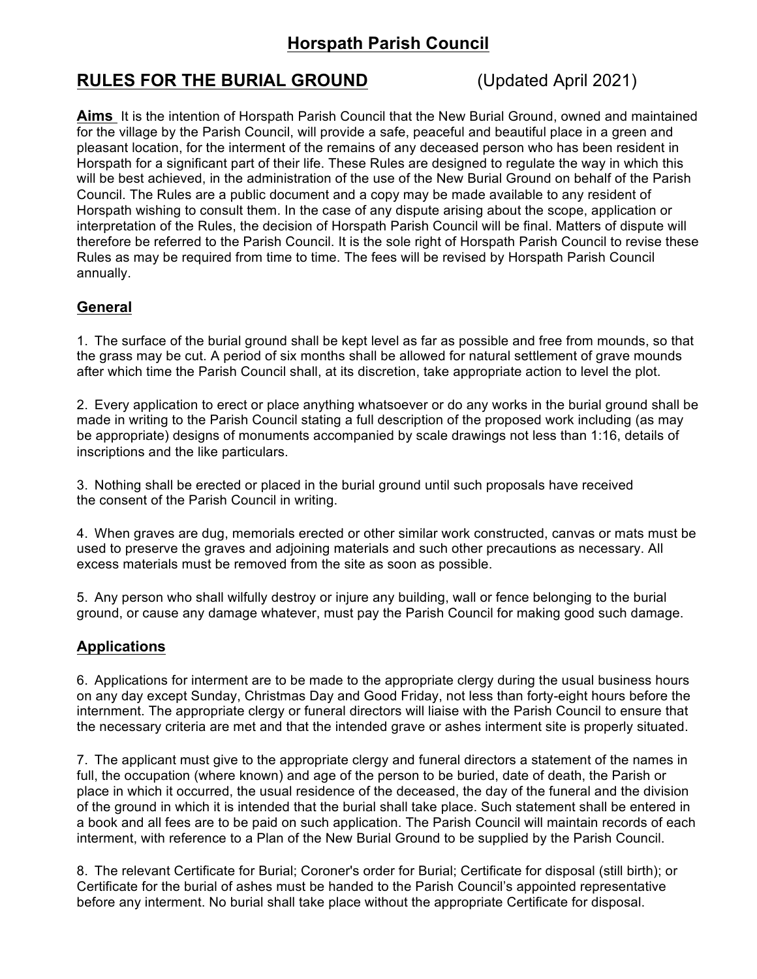# **Horspath Parish Council**

## **RULES FOR THE BURIAL GROUND** (Updated April 2021)

**Aims** It is the intention of Horspath Parish Council that the New Burial Ground, owned and maintained for the village by the Parish Council, will provide a safe, peaceful and beautiful place in a green and pleasant location, for the interment of the remains of any deceased person who has been resident in Horspath for a significant part of their life. These Rules are designed to regulate the way in which this will be best achieved, in the administration of the use of the New Burial Ground on behalf of the Parish Council. The Rules are a public document and a copy may be made available to any resident of Horspath wishing to consult them. In the case of any dispute arising about the scope, application or interpretation of the Rules, the decision of Horspath Parish Council will be final. Matters of dispute will therefore be referred to the Parish Council. It is the sole right of Horspath Parish Council to revise these Rules as may be required from time to time. The fees will be revised by Horspath Parish Council annually.

### **General**

1. The surface of the burial ground shall be kept level as far as possible and free from mounds, so that the grass may be cut. A period of six months shall be allowed for natural settlement of grave mounds after which time the Parish Council shall, at its discretion, take appropriate action to level the plot.

2. Every application to erect or place anything whatsoever or do any works in the burial ground shall be made in writing to the Parish Council stating a full description of the proposed work including (as may be appropriate) designs of monuments accompanied by scale drawings not less than 1:16, details of inscriptions and the like particulars.

3. Nothing shall be erected or placed in the burial ground until such proposals have received the consent of the Parish Council in writing.

4. When graves are dug, memorials erected or other similar work constructed, canvas or mats must be used to preserve the graves and adjoining materials and such other precautions as necessary. All excess materials must be removed from the site as soon as possible.

5. Any person who shall wilfully destroy or injure any building, wall or fence belonging to the burial ground, or cause any damage whatever, must pay the Parish Council for making good such damage.

#### **Applications**

6. Applications for interment are to be made to the appropriate clergy during the usual business hours on any day except Sunday, Christmas Day and Good Friday, not less than forty-eight hours before the internment. The appropriate clergy or funeral directors will liaise with the Parish Council to ensure that the necessary criteria are met and that the intended grave or ashes interment site is properly situated.

7. The applicant must give to the appropriate clergy and funeral directors a statement of the names in full, the occupation (where known) and age of the person to be buried, date of death, the Parish or place in which it occurred, the usual residence of the deceased, the day of the funeral and the division of the ground in which it is intended that the burial shall take place. Such statement shall be entered in a book and all fees are to be paid on such application. The Parish Council will maintain records of each interment, with reference to a Plan of the New Burial Ground to be supplied by the Parish Council.

8. The relevant Certificate for Burial; Coroner's order for Burial; Certificate for disposal (still birth); or Certificate for the burial of ashes must be handed to the Parish Council's appointed representative before any interment. No burial shall take place without the appropriate Certificate for disposal.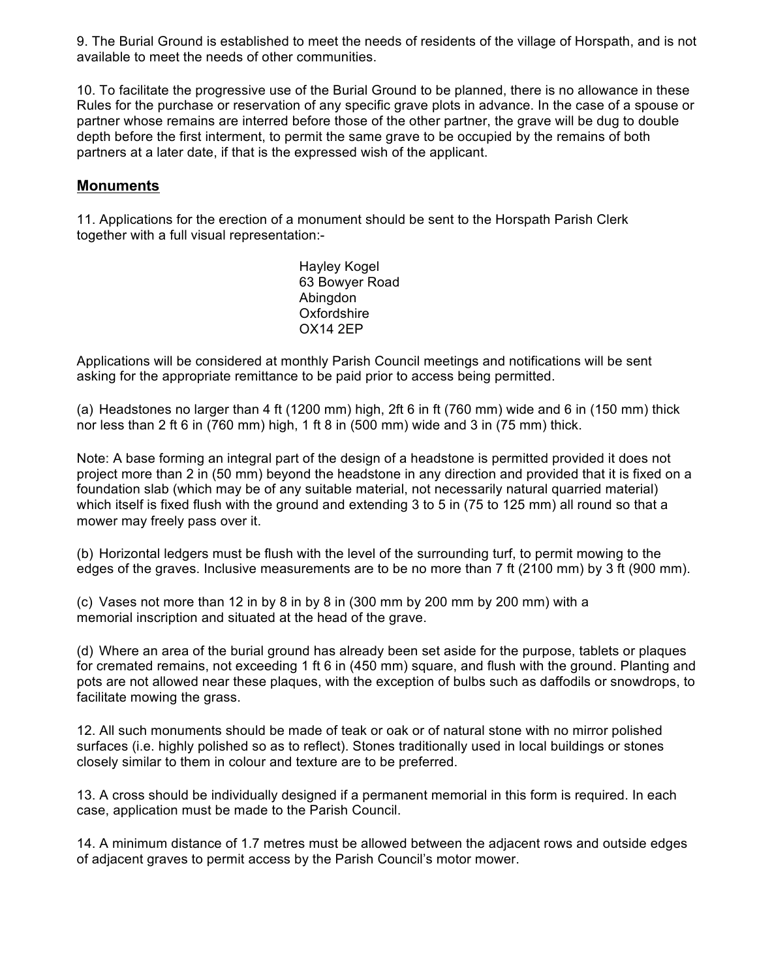9. The Burial Ground is established to meet the needs of residents of the village of Horspath, and is not available to meet the needs of other communities.

10. To facilitate the progressive use of the Burial Ground to be planned, there is no allowance in these Rules for the purchase or reservation of any specific grave plots in advance. In the case of a spouse or partner whose remains are interred before those of the other partner, the grave will be dug to double depth before the first interment, to permit the same grave to be occupied by the remains of both partners at a later date, if that is the expressed wish of the applicant.

#### **Monuments**

11. Applications for the erection of a monument should be sent to the Horspath Parish Clerk together with a full visual representation:-

> Hayley Kogel 63 Bowyer Road Abingdon **Oxfordshire** OX14 2EP

Applications will be considered at monthly Parish Council meetings and notifications will be sent asking for the appropriate remittance to be paid prior to access being permitted.

(a) Headstones no larger than 4 ft (1200 mm) high, 2ft 6 in ft (760 mm) wide and 6 in (150 mm) thick nor less than 2 ft 6 in (760 mm) high, 1 ft 8 in (500 mm) wide and 3 in (75 mm) thick.

Note: A base forming an integral part of the design of a headstone is permitted provided it does not project more than 2 in (50 mm) beyond the headstone in any direction and provided that it is fixed on a foundation slab (which may be of any suitable material, not necessarily natural quarried material) which itself is fixed flush with the ground and extending 3 to 5 in (75 to 125 mm) all round so that a mower may freely pass over it.

(b) Horizontal ledgers must be flush with the level of the surrounding turf, to permit mowing to the edges of the graves. Inclusive measurements are to be no more than 7 ft (2100 mm) by 3 ft (900 mm).

(c) Vases not more than 12 in by 8 in by 8 in (300 mm by 200 mm by 200 mm) with a memorial inscription and situated at the head of the grave.

(d) Where an area of the burial ground has already been set aside for the purpose, tablets or plaques for cremated remains, not exceeding 1 ft 6 in (450 mm) square, and flush with the ground. Planting and pots are not allowed near these plaques, with the exception of bulbs such as daffodils or snowdrops, to facilitate mowing the grass.

12. All such monuments should be made of teak or oak or of natural stone with no mirror polished surfaces (i.e. highly polished so as to reflect). Stones traditionally used in local buildings or stones closely similar to them in colour and texture are to be preferred.

13. A cross should be individually designed if a permanent memorial in this form is required. In each case, application must be made to the Parish Council.

14. A minimum distance of 1.7 metres must be allowed between the adjacent rows and outside edges of adjacent graves to permit access by the Parish Council's motor mower.